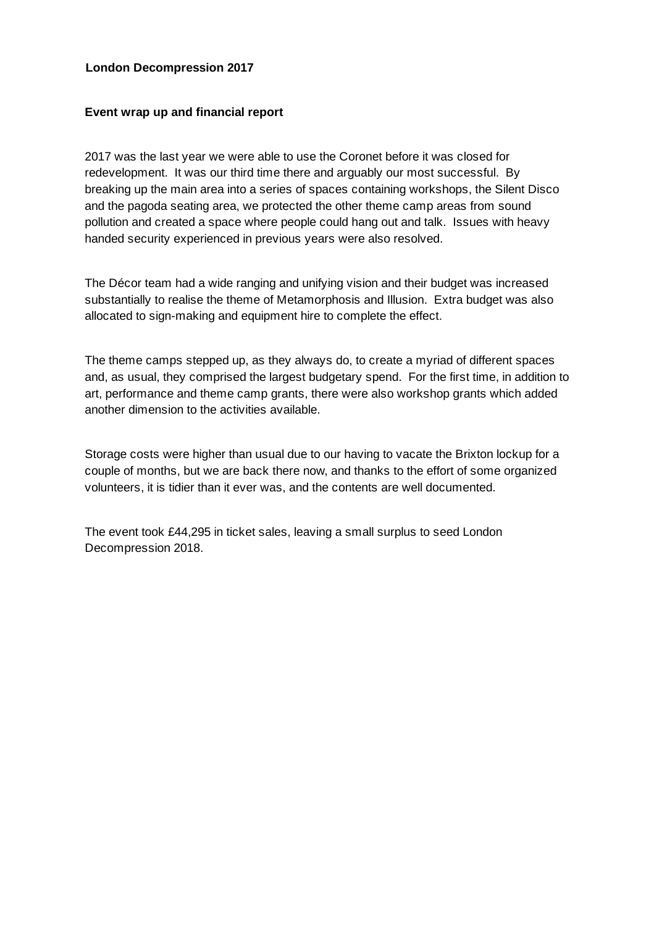## **London Decompression 2017**

## **Event wrap up and financial report**

2017 was the last year we were able to use the Coronet before it was closed for redevelopment. It was our third time there and arguably our most successful. By breaking up the main area into a series of spaces containing workshops, the Silent Disco and the pagoda seating area, we protected the other theme camp areas from sound pollution and created a space where people could hang out and talk. Issues with heavy handed security experienced in previous years were also resolved.

The Décor team had a wide ranging and unifying vision and their budget was increased substantially to realise the theme of Metamorphosis and Illusion. Extra budget was also allocated to sign-making and equipment hire to complete the effect.

The theme camps stepped up, as they always do, to create a myriad of different spaces and, as usual, they comprised the largest budgetary spend. For the first time, in addition to art, performance and theme camp grants, there were also workshop grants which added another dimension to the activities available.

Storage costs were higher than usual due to our having to vacate the Brixton lockup for a couple of months, but we are back there now, and thanks to the effort of some organized volunteers, it is tidier than it ever was, and the contents are well documented.

The event took £44,295 in ticket sales, leaving a small surplus to seed London Decompression 2018.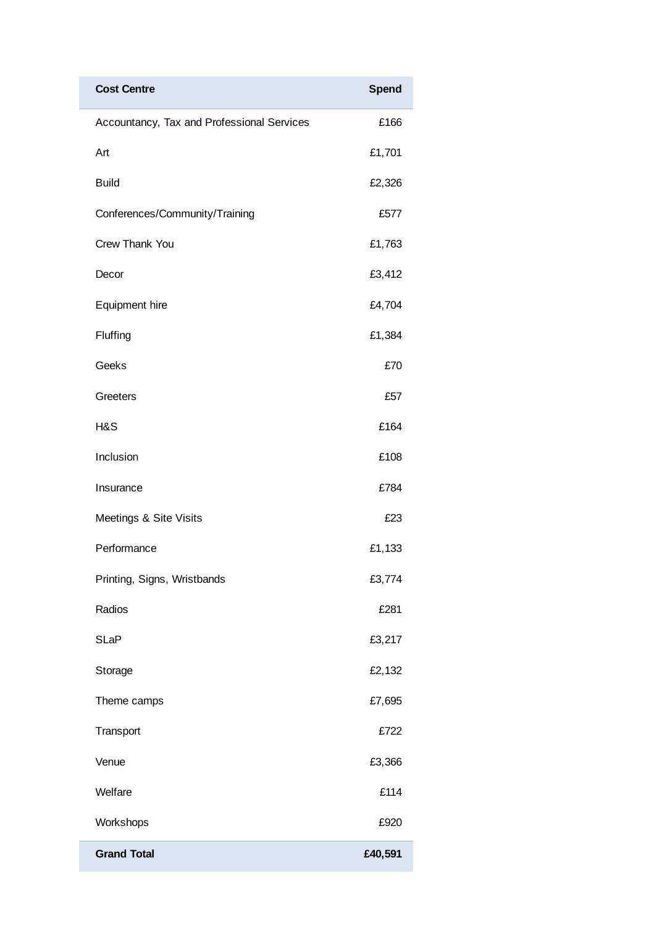| <b>Cost Centre</b>                         | <b>Spend</b> |
|--------------------------------------------|--------------|
| Accountancy, Tax and Professional Services | £166         |
| Art                                        | £1,701       |
| <b>Build</b>                               | £2,326       |
| Conferences/Community/Training             | £577         |
| Crew Thank You                             | £1,763       |
| Decor                                      | £3,412       |
| Equipment hire                             | £4,704       |
| Fluffing                                   | £1,384       |
| Geeks                                      | £70          |
| Greeters                                   | £57          |
| H&S                                        | £164         |
| Inclusion                                  | £108         |
| Insurance                                  | £784         |
| Meetings & Site Visits                     | £23          |
| Performance                                | £1,133       |
| Printing, Signs, Wristbands                | £3,774       |
| Radios                                     | £281         |
| <b>SLaP</b>                                | £3,217       |
| Storage                                    | £2,132       |
| Theme camps                                | £7,695       |
| Transport                                  | £722         |
| Venue                                      | £3,366       |
| Welfare                                    | £114         |
| Workshops                                  | £920         |
| <b>Grand Total</b>                         | £40,591      |